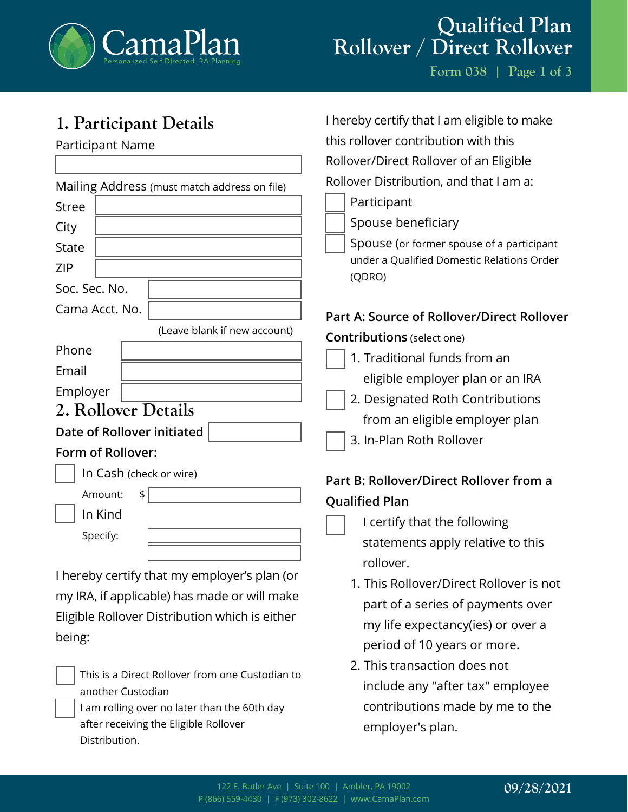

# **Qualified Plan Rollover / Direct Rollover**

I hereby certify that I am eligible to make

this rollover contribution with this

**Form 038 | Page 1 of 3**

# **1. Participant Details**

Participant Name

|                                              | Rollover/Direct Rollover of an Eligible              |
|----------------------------------------------|------------------------------------------------------|
| Mailing Address (must match address on file) | Rollover Distribution, and that I am a:              |
| <b>Stree</b>                                 | Participant                                          |
| City                                         | Spouse beneficiary                                   |
| <b>State</b>                                 | Spouse (or former spouse of a participant            |
| <b>ZIP</b>                                   | under a Qualified Domestic Relations Order<br>(QDRO) |
| Soc. Sec. No.                                |                                                      |
| Cama Acct. No.                               | Part A: Source of Rollover/Direct Rollover           |
| (Leave blank if new account)                 | <b>Contributions</b> (select one)                    |
| Phone                                        | 1. Traditional funds from an                         |
| Email                                        | eligible employer plan or an IRA                     |
| Employer                                     | 2. Designated Roth Contributions                     |
| 2. Rollover Details                          |                                                      |
| Date of Rollover initiated                   | from an eligible employer plan                       |
| Form of Rollover:                            | 3. In-Plan Roth Rollover                             |
| In Cash (check or wire)                      | Part B: Rollover/Direct Rollover from a              |
| Amount:<br>\$                                | <b>Qualified Plan</b>                                |
| In Kind                                      | I certify that the following                         |
| Specify:                                     | statements apply relative to this                    |
|                                              | rollover.                                            |
| I hereby certify that my employer's plan (or | 1. This Rollover/Direct Rollover is not              |
| my IRA, if applicable) has made or will make |                                                      |

Eligible Rollover Distribution which is either being:



This is a Direct Rollover from one Custodian to another Custodian

I am rolling over no later than the 60th day after receiving the Eligible Rollover Distribution.

 part of a series of payments over my life expectancy(ies) or over a period of 10 years or more.

2. This transaction does not include any "after tax" employee contributions made by me to the employer's plan.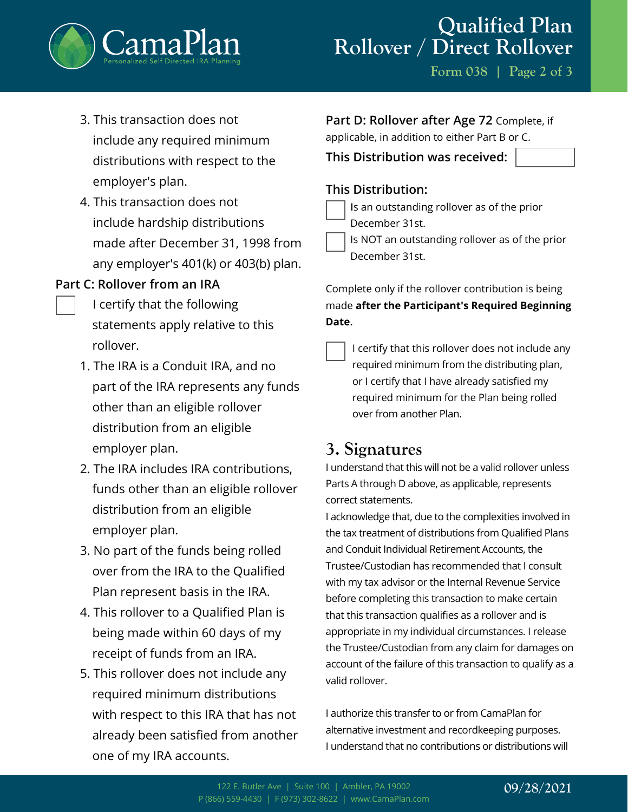

**Form 038 | Page 2 of 3**

- 3. This transaction does not include any required minimum distributions with respect to the employer's plan.
- 4. This transaction does not include hardship distributions made after December 31, 1998 from any employer's 401(k) or 403(b) plan.

### **Part C: Rollover from an IRA**

- I certify that the following statements apply relative to this rollover.
- 1. The IRA is a Conduit IRA, and no part of the IRA represents any funds other than an eligible rollover distribution from an eligible employer plan.
- 2. The IRA includes IRA contributions, funds other than an eligible rollover distribution from an eligible employer plan.
- 3. No part of the funds being rolled over from the IRA to the Qualified Plan represent basis in the IRA.
- 4. This rollover to a Qualified Plan is being made within 60 days of my receipt of funds from an IRA.
- 5. This rollover does not include any required minimum distributions with respect to this IRA that has not already been satisfied from another one of my IRA accounts.

| Part D: Rollover after Age 72 Complete, if     |
|------------------------------------------------|
| applicable, in addition to either Part B or C. |

**This Distribution was received:**

### **This Distribution:**

- **I**s an outstanding rollover as of the prior December 31st.
- Is NOT an outstanding rollover as of the prior December 31st.

Complete only if the rollover contribution is being made **after the Participant's Required Beginning Date.**

I certify that this rollover does not include any required minimum from the distributing plan, or I certify that I have already satisfied my required minimum for the Plan being rolled over from another Plan.

## **3. Signatures**

I understand that this will not be a valid rollover unless Parts A through D above, as applicable, represents correct statements.

I acknowledge that, due to the complexities involved in the tax treatment of distributions from Qualified Plans and Conduit Individual Retirement Accounts, the Trustee/Custodian has recommended that I consult with my tax advisor or the Internal Revenue Service before completing this transaction to make certain that this transaction qualifies as a rollover and is appropriate in my individual circumstances. I release the Trustee/Custodian from any claim for damages on account of the failure of this transaction to qualify as a valid rollover.

I authorize this transfer to or from CamaPlan for alternative investment and recordkeeping purposes. I understand that no contributions or distributions will